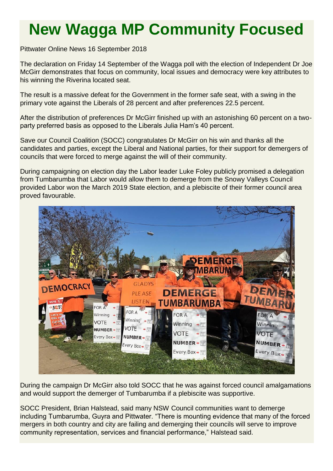## **New Wagga MP Community Focused**

Pittwater Online News 16 September 2018

The declaration on Friday 14 September of the Wagga poll with the election of Independent Dr Joe McGirr demonstrates that focus on community, local issues and democracy were key attributes to his winning the Riverina located seat.

The result is a massive defeat for the Government in the former safe seat, with a swing in the primary vote against the Liberals of 28 percent and after preferences 22.5 percent.

After the distribution of preferences Dr McGirr finished up with an astonishing 60 percent on a twoparty preferred basis as opposed to the Liberals Julia Ham's 40 percent.

Save our Council Coalition (SOCC) congratulates Dr McGirr on his win and thanks all the candidates and parties, except the Liberal and National parties, for their support for demergers of councils that were forced to merge against the will of their community.

During campaigning on election day the Labor leader Luke Foley publicly promised a delegation from Tumbarumba that Labor would allow them to demerge from the Snowy Valleys Council provided Labor won the March 2019 State election, and a plebiscite of their former council area proved favourable.



During the campaign Dr McGirr also told SOCC that he was against forced council amalgamations and would support the demerger of Tumbarumba if a plebiscite was supportive.

SOCC President, Brian Halstead, said many NSW Council communities want to demerge including Tumbarumba, Guyra and Pittwater. "There is mounting evidence that many of the forced mergers in both country and city are failing and demerging their councils will serve to improve community representation, services and financial performance," Halstead said.